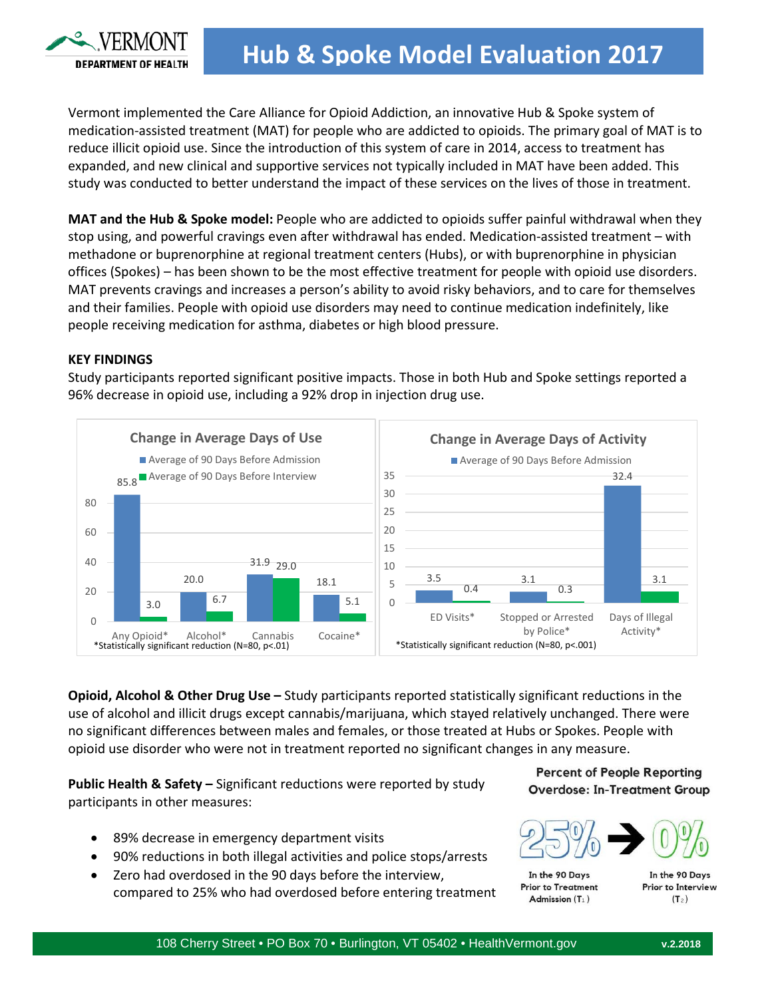

Vermont implemented the Care Alliance for Opioid Addiction, an innovative Hub & Spoke system of medication-assisted treatment (MAT) for people who are addicted to opioids. The primary goal of MAT is to reduce illicit opioid use. Since the introduction of this system of care in 2014, access to treatment has expanded, and new clinical and supportive services not typically included in MAT have been added. This study was conducted to better understand the impact of these services on the lives of those in treatment.

**MAT and the Hub & Spoke model:** People who are addicted to opioids suffer painful withdrawal when they stop using, and powerful cravings even after withdrawal has ended. Medication-assisted treatment – with methadone or buprenorphine at regional treatment centers (Hubs), or with buprenorphine in physician offices (Spokes) – has been shown to be the most effective treatment for people with opioid use disorders. MAT prevents cravings and increases a person's ability to avoid risky behaviors, and to care for themselves and their families. People with opioid use disorders may need to continue medication indefinitely, like people receiving medication for asthma, diabetes or high blood pressure.

## **KEY FINDINGS**

Study participants reported significant positive impacts. Those in both Hub and Spoke settings reported a 96% decrease in opioid use, including a 92% drop in injection drug use.



**Opioid, Alcohol & Other Drug Use –** Study participants reported statistically significant reductions in the use of alcohol and illicit drugs except cannabis/marijuana, which stayed relatively unchanged. There were no significant differences between males and females, or those treated at Hubs or Spokes. People with opioid use disorder who were not in treatment reported no significant changes in any measure.

**Public Health & Safety –** Significant reductions were reported by study participants in other measures:

- 89% decrease in emergency department visits
- 90% reductions in both illegal activities and police stops/arrests
- Zero had overdosed in the 90 days before the interview, compared to 25% who had overdosed before entering treatment

**Percent of People Reporting Overdose: In-Treatment Group** 



In the 90 Days **Prior to Treatment** Admission  $(T_1)$ 

In the 90 Days **Prior to Interview**  $(T_2)$